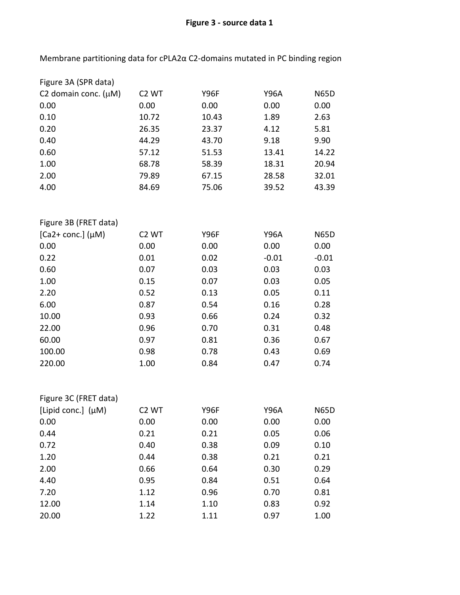## **Figure 3 - source data 1**

Membrane partitioning data for cPLA2α C2-domains mutated in PC binding region

| Figure 3A (SPR data)                  |                   |             |             |             |
|---------------------------------------|-------------------|-------------|-------------|-------------|
| C <sub>2</sub> domain conc. $(\mu M)$ | C <sub>2</sub> WT | <b>Y96F</b> | <b>Y96A</b> | <b>N65D</b> |
| 0.00                                  | 0.00              | 0.00        | 0.00        | 0.00        |
| 0.10                                  | 10.72             | 10.43       | 1.89        | 2.63        |
| 0.20                                  | 26.35             | 23.37       | 4.12        | 5.81        |
| 0.40                                  | 44.29             | 43.70       | 9.18        | 9.90        |
| 0.60                                  | 57.12             | 51.53       | 13.41       | 14.22       |
| 1.00                                  | 68.78             | 58.39       | 18.31       | 20.94       |
| 2.00                                  | 79.89             | 67.15       | 28.58       | 32.01       |
| 4.00                                  | 84.69             | 75.06       | 39.52       | 43.39       |
|                                       |                   |             |             |             |
| Figure 3B (FRET data)                 |                   |             |             |             |
| $[Ca2+conc.]$ ( $\mu$ M)              | C <sub>2</sub> WT | <b>Y96F</b> | <b>Y96A</b> | <b>N65D</b> |
| 0.00                                  | 0.00              | 0.00        | 0.00        | 0.00        |
| 0.22                                  | 0.01              | 0.02        | $-0.01$     | $-0.01$     |
| 0.60                                  | 0.07              | 0.03        | 0.03        | 0.03        |
| 1.00                                  | 0.15              | 0.07        | 0.03        | 0.05        |
| 2.20                                  | 0.52              | 0.13        | 0.05        | 0.11        |
| 6.00                                  | 0.87              | 0.54        | 0.16        | 0.28        |
| 10.00                                 | 0.93              | 0.66        | 0.24        | 0.32        |
| 22.00                                 | 0.96              | 0.70        | 0.31        | 0.48        |
| 60.00                                 | 0.97              | 0.81        | 0.36        | 0.67        |
| 100.00                                | 0.98              | 0.78        | 0.43        | 0.69        |
| 220.00                                | 1.00              | 0.84        | 0.47        | 0.74        |
|                                       |                   |             |             |             |
| Figure 3C (FRET data)                 |                   |             |             |             |
| [Lipid conc.] (µM)                    | C <sub>2</sub> WT | Y96F        | Y96A        | <b>N65D</b> |
| 0.00                                  | 0.00              | 0.00        | 0.00        | 0.00        |
| 0.44                                  | 0.21              | 0.21        | 0.05        | 0.06        |
| 0.72                                  | 0.40              | 0.38        | 0.09        | 0.10        |
| 1.20                                  | 0.44              | 0.38        | 0.21        | 0.21        |
| 2.00                                  | 0.66              | 0.64        | 0.30        | 0.29        |
| 4.40                                  | 0.95              | 0.84        | 0.51        | 0.64        |
| 7.20                                  | 1.12              | 0.96        | 0.70        | 0.81        |
| 12.00                                 | 1.14              | 1.10        | 0.83        | 0.92        |
| 20.00                                 | 1.22              | 1.11        | 0.97        | 1.00        |